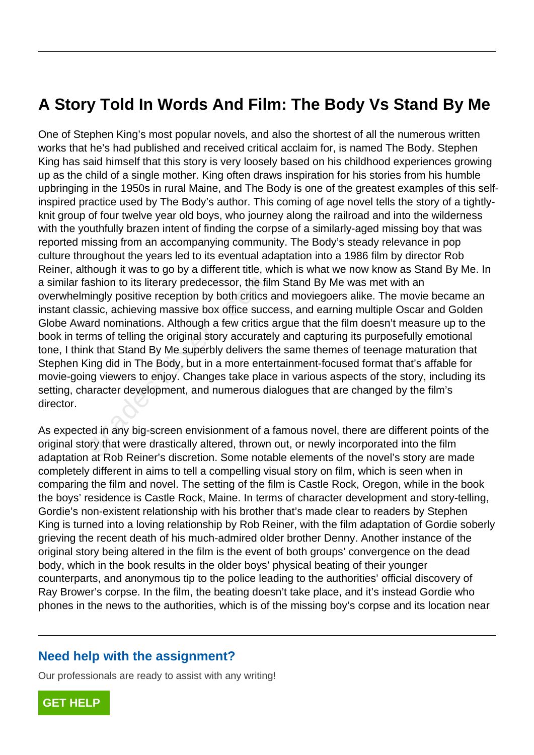## **A Story Told In Words And Film: The Body Vs Stand By Me**

One of Stephen King's most popular novels, and also the shortest of all the numerous written works that he's had published and received critical acclaim for, is named The Body. Stephen King has said himself that this story is very loosely based on his childhood experiences growing up as the child of a single mother. King often draws inspiration for his stories from his humble upbringing in the 1950s in rural Maine, and The Body is one of the greatest examples of this selfinspired practice used by The Body's author. This coming of age novel tells the story of a tightlyknit group of four twelve year old boys, who journey along the railroad and into the wilderness with the youthfully brazen intent of finding the corpse of a similarly-aged missing boy that was reported missing from an accompanying community. The Body's steady relevance in pop culture throughout the years led to its eventual adaptation into a 1986 film by director Rob Reiner, although it was to go by a different title, which is what we now know as Stand By Me. In a similar fashion to its literary predecessor, the film Stand By Me was met with an overwhelmingly positive reception by both critics and moviegoers alike. The movie became an instant classic, achieving massive box office success, and earning multiple Oscar and Golden Globe Award nominations. Although a few critics argue that the film doesn't measure up to the book in terms of telling the original story accurately and capturing its purposefully emotional tone, I think that Stand By Me superbly delivers the same themes of teenage maturation that Stephen King did in The Body, but in a more entertainment-focused format that's affable for movie-going viewers to enjoy. Changes take place in various aspects of the story, including its setting, character development, and numerous dialogues that are changed by the film's director. Ashion to its literary predecessor, the filantly positive reception by both critics<br>ssic, achieving massive box office succard nominations. Although a few critics<br>ms of telling the original story accurate<br>k that Stand By M

As expected in any big-screen envisionment of a famous novel, there are different points of the original story that were drastically altered, thrown out, or newly incorporated into the film adaptation at Rob Reiner's discretion. Some notable elements of the novel's story are made completely different in aims to tell a compelling visual story on film, which is seen when in comparing the film and novel. The setting of the film is Castle Rock, Oregon, while in the book the boys' residence is Castle Rock, Maine. In terms of character development and story-telling, Gordie's non-existent relationship with his brother that's made clear to readers by Stephen King is turned into a loving relationship by Rob Reiner, with the film adaptation of Gordie soberly grieving the recent death of his much-admired older brother Denny. Another instance of the original story being altered in the film is the event of both groups' convergence on the dead body, which in the book results in the older boys' physical beating of their younger counterparts, and anonymous tip to the police leading to the authorities' official discovery of Ray Brower's corpse. In the film, the beating doesn't take place, and it's instead Gordie who phones in the news to the authorities, which is of the missing boy's corpse and its location near

## **Need help with the assignment?**

Our professionals are ready to assist with any writing!